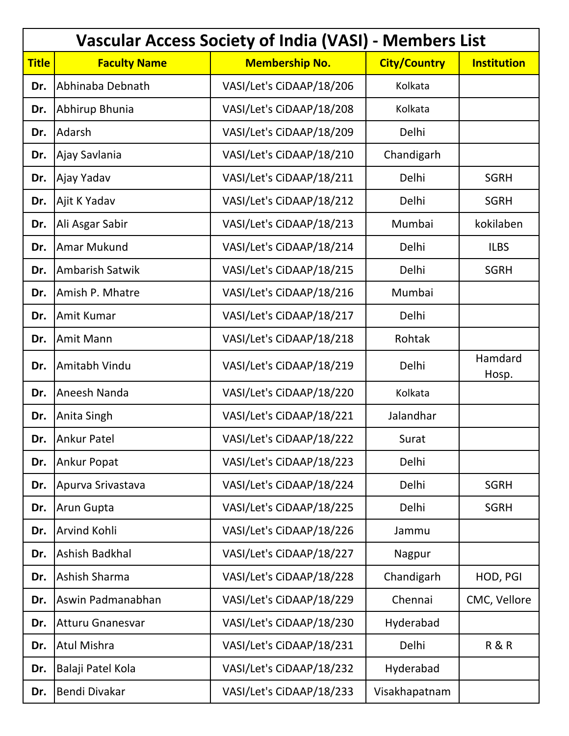| <b>Vascular Access Society of India (VASI)</b><br>- Members List |                         |                          |                     |                    |
|------------------------------------------------------------------|-------------------------|--------------------------|---------------------|--------------------|
| <b>Title</b>                                                     | <b>Faculty Name</b>     | <b>Membership No.</b>    | <b>City/Country</b> | <b>Institution</b> |
| Dr.                                                              | Abhinaba Debnath        | VASI/Let's CiDAAP/18/206 | Kolkata             |                    |
| Dr.                                                              | Abhirup Bhunia          | VASI/Let's CiDAAP/18/208 | Kolkata             |                    |
| Dr.                                                              | Adarsh                  | VASI/Let's CiDAAP/18/209 | Delhi               |                    |
| Dr.                                                              | Ajay Savlania           | VASI/Let's CiDAAP/18/210 | Chandigarh          |                    |
| Dr.                                                              | Ajay Yadav              | VASI/Let's CiDAAP/18/211 | Delhi               | <b>SGRH</b>        |
| Dr.                                                              | Ajit K Yadav            | VASI/Let's CiDAAP/18/212 | Delhi               | <b>SGRH</b>        |
| Dr.                                                              | Ali Asgar Sabir         | VASI/Let's CiDAAP/18/213 | Mumbai              | kokilaben          |
| Dr.                                                              | <b>Amar Mukund</b>      | VASI/Let's CiDAAP/18/214 | Delhi               | <b>ILBS</b>        |
| Dr.                                                              | <b>Ambarish Satwik</b>  | VASI/Let's CiDAAP/18/215 | Delhi               | <b>SGRH</b>        |
| Dr.                                                              | Amish P. Mhatre         | VASI/Let's CiDAAP/18/216 | Mumbai              |                    |
| Dr.                                                              | Amit Kumar              | VASI/Let's CiDAAP/18/217 | Delhi               |                    |
| Dr.                                                              | Amit Mann               | VASI/Let's CiDAAP/18/218 | Rohtak              |                    |
| Dr.                                                              | Amitabh Vindu           | VASI/Let's CiDAAP/18/219 | Delhi               | Hamdard<br>Hosp.   |
| Dr.                                                              | Aneesh Nanda            | VASI/Let's CiDAAP/18/220 | Kolkata             |                    |
| Dr.                                                              | Anita Singh             | VASI/Let's CiDAAP/18/221 | Jalandhar           |                    |
| Dr.                                                              | <b>Ankur Patel</b>      | VASI/Let's CiDAAP/18/222 | Surat               |                    |
| Dr.                                                              | <b>Ankur Popat</b>      | VASI/Let's CiDAAP/18/223 | Delhi               |                    |
| Dr.                                                              | Apurva Srivastava       | VASI/Let's CiDAAP/18/224 | Delhi               | <b>SGRH</b>        |
| Dr.                                                              | Arun Gupta              | VASI/Let's CiDAAP/18/225 | Delhi               | <b>SGRH</b>        |
| Dr.                                                              | Arvind Kohli            | VASI/Let's CiDAAP/18/226 | Jammu               |                    |
| Dr.                                                              | Ashish Badkhal          | VASI/Let's CiDAAP/18/227 | Nagpur              |                    |
| Dr.                                                              | Ashish Sharma           | VASI/Let's CiDAAP/18/228 | Chandigarh          | HOD, PGI           |
| Dr.                                                              | Aswin Padmanabhan       | VASI/Let's CiDAAP/18/229 | Chennai             | CMC, Vellore       |
| Dr.                                                              | <b>Atturu Gnanesvar</b> | VASI/Let's CiDAAP/18/230 | Hyderabad           |                    |
| Dr.                                                              | <b>Atul Mishra</b>      | VASI/Let's CiDAAP/18/231 | Delhi               | <b>R&amp;R</b>     |
| Dr.                                                              | Balaji Patel Kola       | VASI/Let's CiDAAP/18/232 | Hyderabad           |                    |
| Dr.                                                              | Bendi Divakar           | VASI/Let's CiDAAP/18/233 | Visakhapatnam       |                    |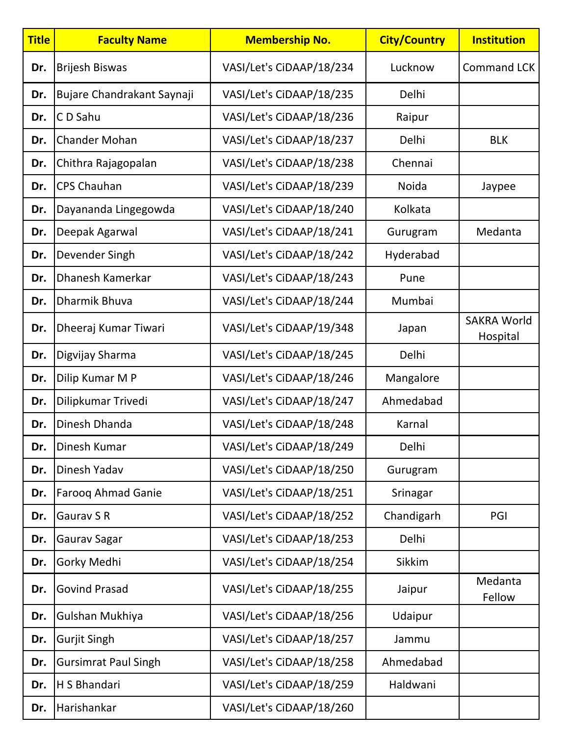| <b>Title</b> | <b>Faculty Name</b>         | <b>Membership No.</b>    | <b>City/Country</b> | <b>Institution</b>             |
|--------------|-----------------------------|--------------------------|---------------------|--------------------------------|
| Dr.          | <b>Brijesh Biswas</b>       | VASI/Let's CiDAAP/18/234 | Lucknow             | <b>Command LCK</b>             |
| Dr.          | Bujare Chandrakant Saynaji  | VASI/Let's CiDAAP/18/235 | Delhi               |                                |
| Dr.          | CD Sahu                     | VASI/Let's CiDAAP/18/236 | Raipur              |                                |
| Dr.          | <b>Chander Mohan</b>        | VASI/Let's CiDAAP/18/237 | Delhi               | <b>BLK</b>                     |
| Dr.          | Chithra Rajagopalan         | VASI/Let's CiDAAP/18/238 | Chennai             |                                |
| Dr.          | <b>CPS Chauhan</b>          | VASI/Let's CiDAAP/18/239 | Noida               | Jaypee                         |
| Dr.          | Dayananda Lingegowda        | VASI/Let's CiDAAP/18/240 | Kolkata             |                                |
| Dr.          | Deepak Agarwal              | VASI/Let's CiDAAP/18/241 | Gurugram            | Medanta                        |
| Dr.          | Devender Singh              | VASI/Let's CiDAAP/18/242 | Hyderabad           |                                |
| Dr.          | Dhanesh Kamerkar            | VASI/Let's CiDAAP/18/243 | Pune                |                                |
| Dr.          | <b>Dharmik Bhuva</b>        | VASI/Let's CiDAAP/18/244 | Mumbai              |                                |
| Dr.          | Dheeraj Kumar Tiwari        | VASI/Let's CiDAAP/19/348 | Japan               | <b>SAKRA World</b><br>Hospital |
| Dr.          | Digvijay Sharma             | VASI/Let's CiDAAP/18/245 | Delhi               |                                |
| Dr.          | Dilip Kumar M P             | VASI/Let's CiDAAP/18/246 | Mangalore           |                                |
| Dr.          | Dilipkumar Trivedi          | VASI/Let's CiDAAP/18/247 | Ahmedabad           |                                |
| Dr.          | Dinesh Dhanda               | VASI/Let's CiDAAP/18/248 | Karnal              |                                |
| Dr.          | Dinesh Kumar                | VASI/Let's CiDAAP/18/249 | Delhi               |                                |
| Dr.          | Dinesh Yadav                | VASI/Let's CiDAAP/18/250 | Gurugram            |                                |
| Dr.          | <b>Farooq Ahmad Ganie</b>   | VASI/Let's CiDAAP/18/251 | Srinagar            |                                |
| Dr.          | Gaurav S R                  | VASI/Let's CiDAAP/18/252 | Chandigarh          | PGI                            |
| Dr.          | Gaurav Sagar                | VASI/Let's CiDAAP/18/253 | Delhi               |                                |
| Dr.          | Gorky Medhi                 | VASI/Let's CiDAAP/18/254 | Sikkim              |                                |
| Dr.          | <b>Govind Prasad</b>        | VASI/Let's CiDAAP/18/255 | Jaipur              | Medanta<br>Fellow              |
| Dr.          | Gulshan Mukhiya             | VASI/Let's CiDAAP/18/256 | Udaipur             |                                |
| Dr.          | <b>Gurjit Singh</b>         | VASI/Let's CiDAAP/18/257 | Jammu               |                                |
| Dr.          | <b>Gursimrat Paul Singh</b> | VASI/Let's CiDAAP/18/258 | Ahmedabad           |                                |
| Dr.          | H S Bhandari                | VASI/Let's CiDAAP/18/259 | Haldwani            |                                |
| Dr.          | Harishankar                 | VASI/Let's CiDAAP/18/260 |                     |                                |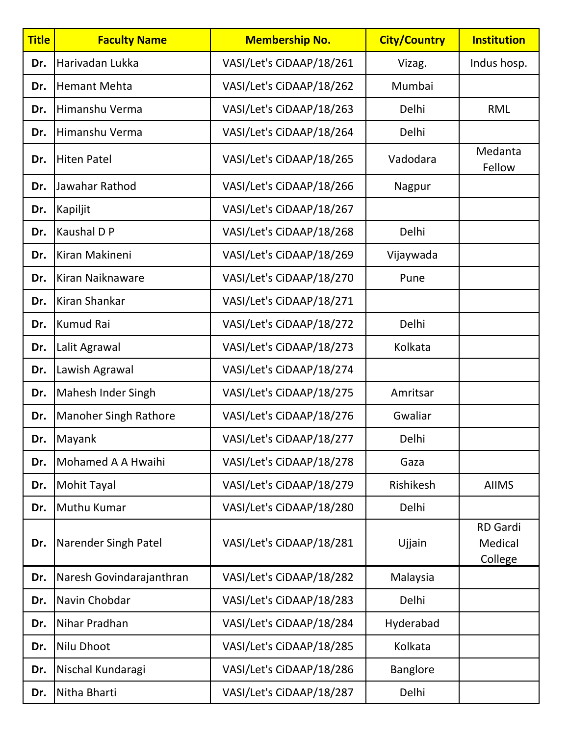| <b>Title</b> | <b>Faculty Name</b>          | <b>Membership No.</b>    | <b>City/Country</b> | <b>Institution</b>                    |
|--------------|------------------------------|--------------------------|---------------------|---------------------------------------|
| Dr.          | Harivadan Lukka              | VASI/Let's CiDAAP/18/261 | Vizag.              | Indus hosp.                           |
| Dr.          | <b>Hemant Mehta</b>          | VASI/Let's CiDAAP/18/262 | Mumbai              |                                       |
| Dr.          | Himanshu Verma               | VASI/Let's CiDAAP/18/263 | Delhi               | <b>RML</b>                            |
| Dr.          | Himanshu Verma               | VASI/Let's CiDAAP/18/264 | Delhi               |                                       |
| Dr.          | <b>Hiten Patel</b>           | VASI/Let's CiDAAP/18/265 | Vadodara            | Medanta<br>Fellow                     |
| Dr.          | Jawahar Rathod               | VASI/Let's CiDAAP/18/266 | Nagpur              |                                       |
| Dr.          | Kapiljit                     | VASI/Let's CiDAAP/18/267 |                     |                                       |
| Dr.          | Kaushal D P                  | VASI/Let's CiDAAP/18/268 | Delhi               |                                       |
| Dr.          | Kiran Makineni               | VASI/Let's CiDAAP/18/269 | Vijaywada           |                                       |
| Dr.          | Kiran Naiknaware             | VASI/Let's CiDAAP/18/270 | Pune                |                                       |
| Dr.          | Kiran Shankar                | VASI/Let's CiDAAP/18/271 |                     |                                       |
| Dr.          | Kumud Rai                    | VASI/Let's CiDAAP/18/272 | Delhi               |                                       |
| Dr.          | Lalit Agrawal                | VASI/Let's CiDAAP/18/273 | Kolkata             |                                       |
| Dr.          | Lawish Agrawal               | VASI/Let's CiDAAP/18/274 |                     |                                       |
| Dr.          | Mahesh Inder Singh           | VASI/Let's CiDAAP/18/275 | Amritsar            |                                       |
| Dr.          | <b>Manoher Singh Rathore</b> | VASI/Let's CiDAAP/18/276 | Gwaliar             |                                       |
| Dr.          | Mayank                       | VASI/Let's CiDAAP/18/277 | Delhi               |                                       |
| Dr.          | Mohamed A A Hwaihi           | VASI/Let's CiDAAP/18/278 | Gaza                |                                       |
| Dr.          | <b>Mohit Tayal</b>           | VASI/Let's CiDAAP/18/279 | Rishikesh           | <b>AIIMS</b>                          |
| Dr.          | Muthu Kumar                  | VASI/Let's CiDAAP/18/280 | Delhi               |                                       |
| Dr.          | Narender Singh Patel         | VASI/Let's CiDAAP/18/281 | Ujjain              | <b>RD</b> Gardi<br>Medical<br>College |
| Dr.          | Naresh Govindarajanthran     | VASI/Let's CiDAAP/18/282 | Malaysia            |                                       |
| Dr.          | Navin Chobdar                | VASI/Let's CiDAAP/18/283 | Delhi               |                                       |
| Dr.          | Nihar Pradhan                | VASI/Let's CiDAAP/18/284 | Hyderabad           |                                       |
| Dr.          | Nilu Dhoot                   | VASI/Let's CiDAAP/18/285 | Kolkata             |                                       |
| Dr.          | Nischal Kundaragi            | VASI/Let's CiDAAP/18/286 | <b>Banglore</b>     |                                       |
| Dr.          | Nitha Bharti                 | VASI/Let's CiDAAP/18/287 | Delhi               |                                       |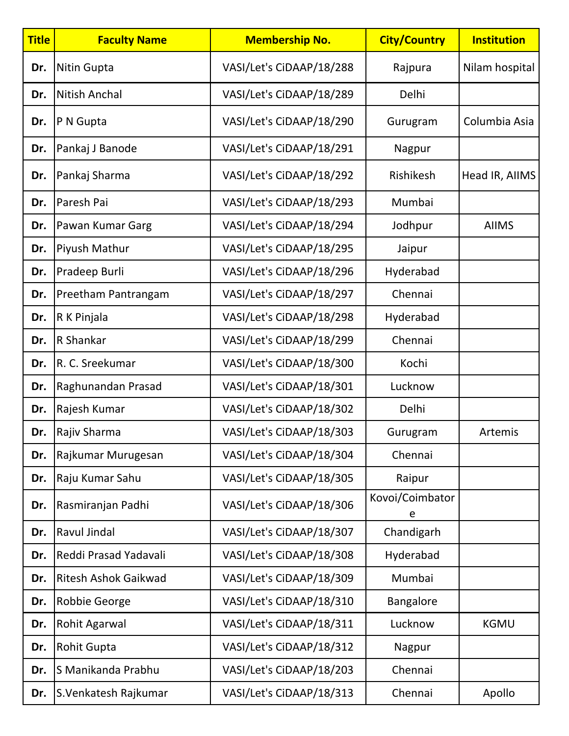| <b>Title</b> | <b>Faculty Name</b>   | <b>Membership No.</b>    | <b>City/Country</b>  | <b>Institution</b> |
|--------------|-----------------------|--------------------------|----------------------|--------------------|
| Dr.          | Nitin Gupta           | VASI/Let's CiDAAP/18/288 | Rajpura              | Nilam hospital     |
| Dr.          | Nitish Anchal         | VASI/Let's CiDAAP/18/289 | Delhi                |                    |
| Dr.          | P N Gupta             | VASI/Let's CiDAAP/18/290 | Gurugram             | Columbia Asia      |
| Dr.          | Pankaj J Banode       | VASI/Let's CiDAAP/18/291 | Nagpur               |                    |
| Dr.          | Pankaj Sharma         | VASI/Let's CiDAAP/18/292 | Rishikesh            | Head IR, AllMS     |
| Dr.          | Paresh Pai            | VASI/Let's CiDAAP/18/293 | Mumbai               |                    |
| Dr.          | Pawan Kumar Garg      | VASI/Let's CiDAAP/18/294 | Jodhpur              | <b>AIIMS</b>       |
| Dr.          | Piyush Mathur         | VASI/Let's CiDAAP/18/295 | Jaipur               |                    |
| Dr.          | Pradeep Burli         | VASI/Let's CiDAAP/18/296 | Hyderabad            |                    |
| Dr.          | Preetham Pantrangam   | VASI/Let's CiDAAP/18/297 | Chennai              |                    |
| Dr.          | R K Pinjala           | VASI/Let's CiDAAP/18/298 | Hyderabad            |                    |
| Dr.          | R Shankar             | VASI/Let's CiDAAP/18/299 | Chennai              |                    |
| Dr.          | R. C. Sreekumar       | VASI/Let's CiDAAP/18/300 | Kochi                |                    |
| Dr.          | Raghunandan Prasad    | VASI/Let's CiDAAP/18/301 | Lucknow              |                    |
| Dr.          | Rajesh Kumar          | VASI/Let's CiDAAP/18/302 | Delhi                |                    |
| Dr.          | Rajiv Sharma          | VASI/Let's CiDAAP/18/303 | Gurugram             | Artemis            |
| Dr.          | Rajkumar Murugesan    | VASI/Let's CiDAAP/18/304 | Chennai              |                    |
| Dr.          | Raju Kumar Sahu       | VASI/Let's CiDAAP/18/305 | Raipur               |                    |
| Dr.          | Rasmiranjan Padhi     | VASI/Let's CiDAAP/18/306 | Kovoi/Coimbator<br>e |                    |
| Dr.          | Ravul Jindal          | VASI/Let's CiDAAP/18/307 | Chandigarh           |                    |
| Dr.          | Reddi Prasad Yadavali | VASI/Let's CiDAAP/18/308 | Hyderabad            |                    |
| Dr.          | Ritesh Ashok Gaikwad  | VASI/Let's CiDAAP/18/309 | Mumbai               |                    |
| Dr.          | <b>Robbie George</b>  | VASI/Let's CiDAAP/18/310 | <b>Bangalore</b>     |                    |
| Dr.          | Rohit Agarwal         | VASI/Let's CiDAAP/18/311 | Lucknow              | <b>KGMU</b>        |
| Dr.          | <b>Rohit Gupta</b>    | VASI/Let's CiDAAP/18/312 | Nagpur               |                    |
| Dr.          | S Manikanda Prabhu    | VASI/Let's CiDAAP/18/203 | Chennai              |                    |
| Dr.          | S.Venkatesh Rajkumar  | VASI/Let's CiDAAP/18/313 | Chennai              | Apollo             |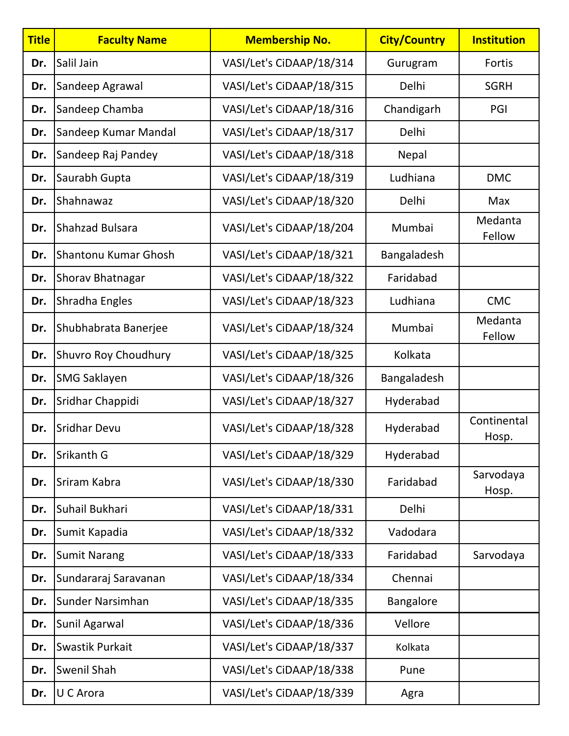| <b>Title</b> | <b>Faculty Name</b>    | <b>Membership No.</b>    | <b>City/Country</b> | <b>Institution</b>   |
|--------------|------------------------|--------------------------|---------------------|----------------------|
| Dr.          | Salil Jain             | VASI/Let's CiDAAP/18/314 | Gurugram            | Fortis               |
| Dr.          | Sandeep Agrawal        | VASI/Let's CiDAAP/18/315 | Delhi               | <b>SGRH</b>          |
| Dr.          | Sandeep Chamba         | VASI/Let's CiDAAP/18/316 | Chandigarh          | PGI                  |
| Dr.          | Sandeep Kumar Mandal   | VASI/Let's CiDAAP/18/317 | Delhi               |                      |
| Dr.          | Sandeep Raj Pandey     | VASI/Let's CiDAAP/18/318 | Nepal               |                      |
| Dr.          | Saurabh Gupta          | VASI/Let's CiDAAP/18/319 | Ludhiana            | <b>DMC</b>           |
| Dr.          | Shahnawaz              | VASI/Let's CiDAAP/18/320 | Delhi               | Max                  |
| Dr.          | <b>Shahzad Bulsara</b> | VASI/Let's CiDAAP/18/204 | Mumbai              | Medanta<br>Fellow    |
| Dr.          | Shantonu Kumar Ghosh   | VASI/Let's CiDAAP/18/321 | Bangaladesh         |                      |
| Dr.          | Shorav Bhatnagar       | VASI/Let's CiDAAP/18/322 | Faridabad           |                      |
| Dr.          | Shradha Engles         | VASI/Let's CiDAAP/18/323 | Ludhiana            | <b>CMC</b>           |
| Dr.          | Shubhabrata Banerjee   | VASI/Let's CiDAAP/18/324 | Mumbai              | Medanta<br>Fellow    |
| Dr.          | Shuvro Roy Choudhury   | VASI/Let's CiDAAP/18/325 | Kolkata             |                      |
| Dr.          | <b>SMG Saklayen</b>    | VASI/Let's CiDAAP/18/326 | Bangaladesh         |                      |
| Dr.          | Sridhar Chappidi       | VASI/Let's CiDAAP/18/327 | Hyderabad           |                      |
| Dr.          | <b>Sridhar Devu</b>    | VASI/Let's CiDAAP/18/328 | Hyderabad           | Continental<br>Hosp. |
| Dr.          | Srikanth G             | VASI/Let's CiDAAP/18/329 | Hyderabad           |                      |
| Dr.          | Sriram Kabra           | VASI/Let's CiDAAP/18/330 | Faridabad           | Sarvodaya<br>Hosp.   |
| Dr.          | Suhail Bukhari         | VASI/Let's CiDAAP/18/331 | Delhi               |                      |
| Dr.          | Sumit Kapadia          | VASI/Let's CiDAAP/18/332 | Vadodara            |                      |
| Dr.          | <b>Sumit Narang</b>    | VASI/Let's CiDAAP/18/333 | Faridabad           | Sarvodaya            |
| Dr.          | Sundararaj Saravanan   | VASI/Let's CiDAAP/18/334 | Chennai             |                      |
| Dr.          | Sunder Narsimhan       | VASI/Let's CiDAAP/18/335 | <b>Bangalore</b>    |                      |
| Dr.          | Sunil Agarwal          | VASI/Let's CiDAAP/18/336 | Vellore             |                      |
| Dr.          | Swastik Purkait        | VASI/Let's CiDAAP/18/337 | Kolkata             |                      |
| Dr.          | Swenil Shah            | VASI/Let's CiDAAP/18/338 | Pune                |                      |
| Dr.          | U C Arora              | VASI/Let's CiDAAP/18/339 | Agra                |                      |